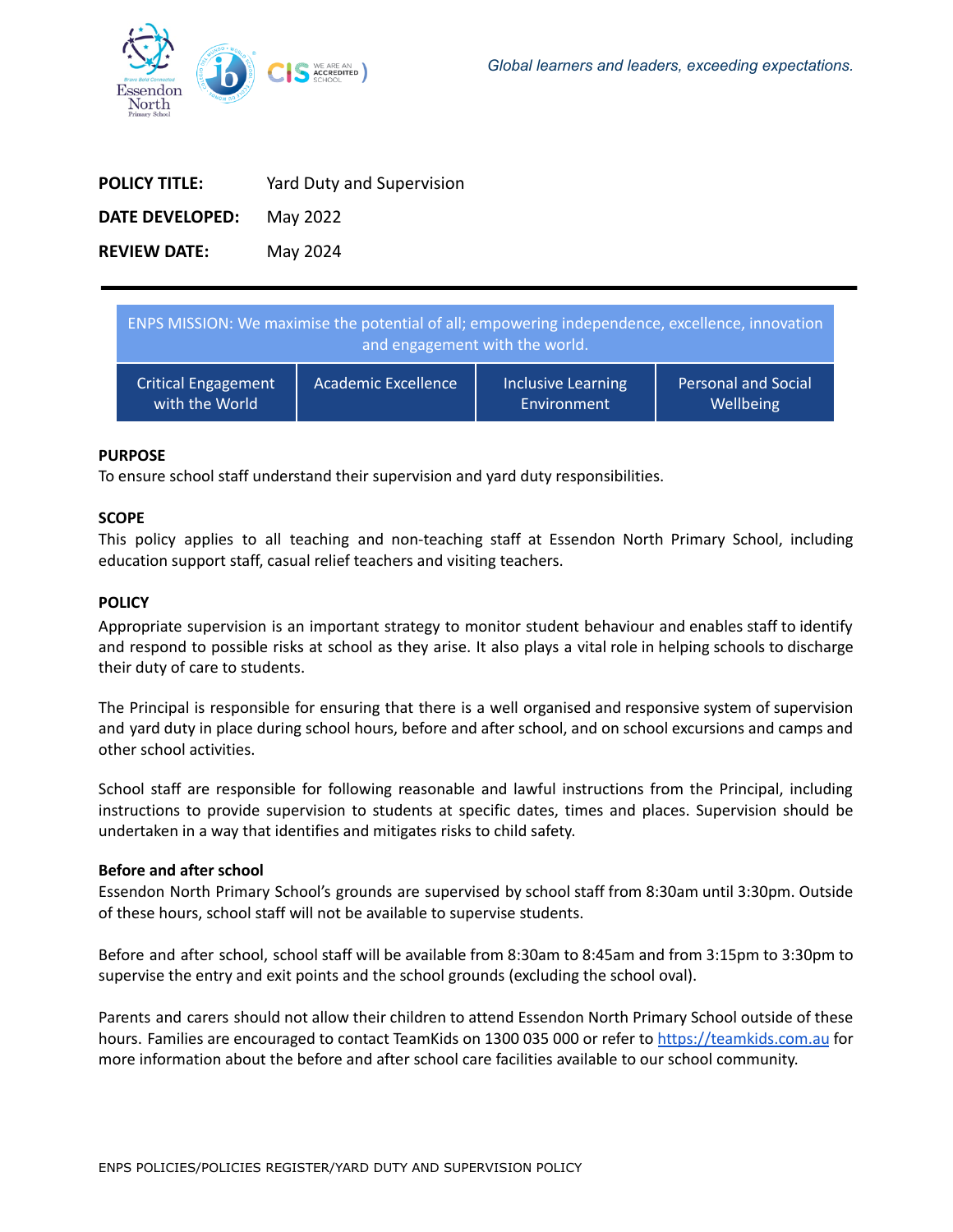

| <b>POLICY TITLE:</b> | Yard Duty and Supervision |
|----------------------|---------------------------|
| DATE DEVELOPED:      | May 2022                  |
| <b>REVIEW DATE:</b>  | May 2024                  |

| ENPS MISSION: We maximise the potential of all; empowering independence, excellence, innovation<br>and engagement with the world. |                     |                    |                            |  |
|-----------------------------------------------------------------------------------------------------------------------------------|---------------------|--------------------|----------------------------|--|
| <b>Critical Engagement</b>                                                                                                        | Academic Excellence | Inclusive Learning | <b>Personal and Social</b> |  |
| with the World                                                                                                                    |                     | Environment        | Wellbeing                  |  |

### **PURPOSE**

To ensure school staff understand their supervision and yard duty responsibilities.

### **SCOPE**

This policy applies to all teaching and non-teaching staff at Essendon North Primary School, including education support staff, casual relief teachers and visiting teachers.

# **POLICY**

Appropriate supervision is an important strategy to monitor student behaviour and enables staff to identify and respond to possible risks at school as they arise. It also plays a vital role in helping schools to discharge their duty of care to students.

The Principal is responsible for ensuring that there is a well organised and responsive system of supervision and yard duty in place during school hours, before and after school, and on school excursions and camps and other school activities.

School staff are responsible for following reasonable and lawful instructions from the Principal, including instructions to provide supervision to students at specific dates, times and places. Supervision should be undertaken in a way that identifies and mitigates risks to child safety.

#### **Before and after school**

Essendon North Primary School's grounds are supervised by school staff from 8:30am until 3:30pm. Outside of these hours, school staff will not be available to supervise students.

Before and after school, school staff will be available from 8:30am to 8:45am and from 3:15pm to 3:30pm to supervise the entry and exit points and the school grounds (excluding the school oval).

Parents and carers should not allow their children to attend Essendon North Primary School outside of these hours. Families are encouraged to contact TeamKids on 1300 035 000 or refer to [https://teamkids.com.au](https://teamkids.com.au/) for more information about the before and after school care facilities available to our school community.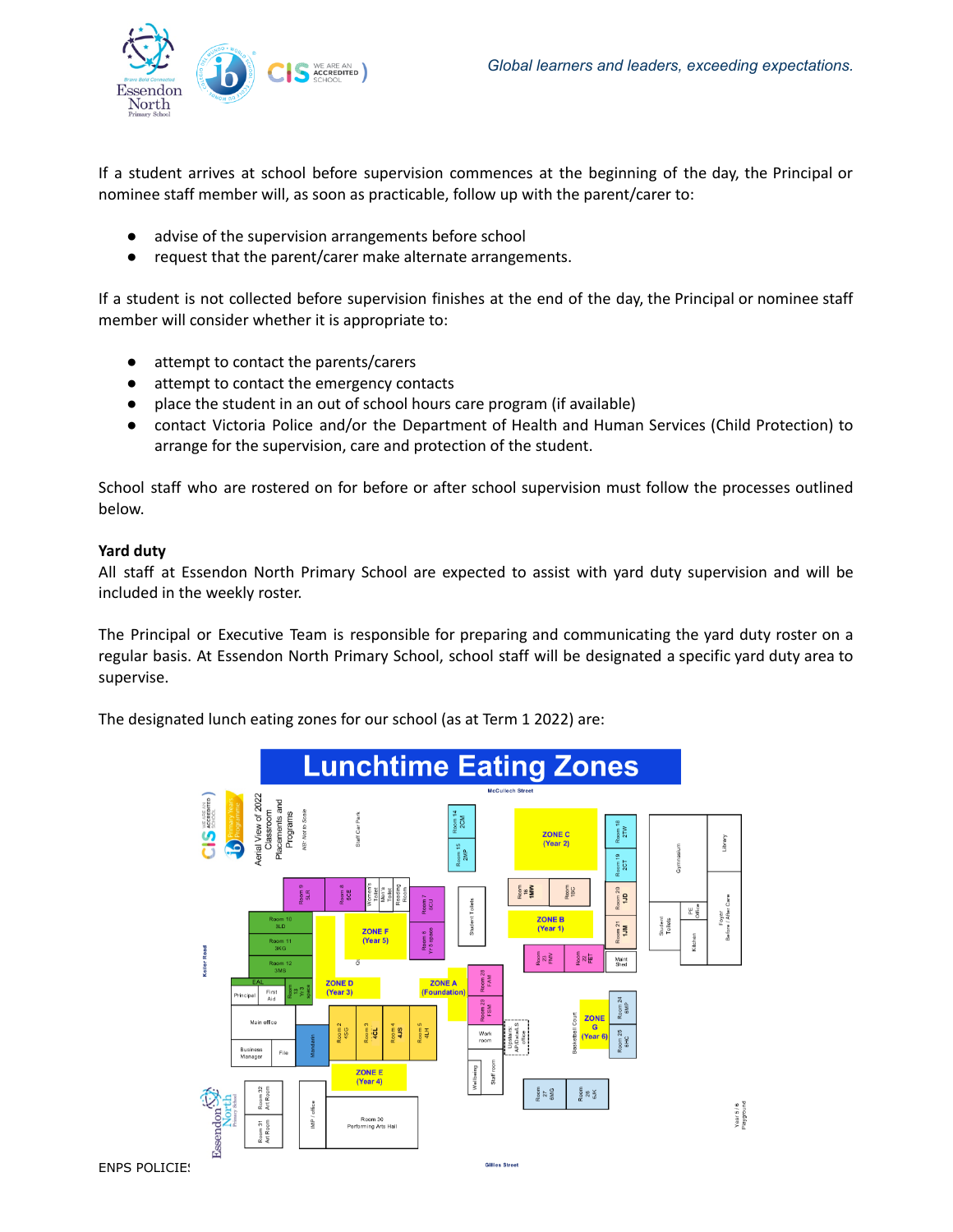

If a student arrives at school before supervision commences at the beginning of the day, the Principal or nominee staff member will, as soon as practicable, follow up with the parent/carer to:

- advise of the supervision arrangements before school
- request that the parent/carer make alternate arrangements.

If a student is not collected before supervision finishes at the end of the day, the Principal or nominee staff member will consider whether it is appropriate to:

- attempt to contact the parents/carers
- attempt to contact the emergency contacts
- place the student in an out of school hours care program (if available)
- contact Victoria Police and/or the Department of Health and Human Services (Child Protection) to arrange for the supervision, care and protection of the student.

School staff who are rostered on for before or after school supervision must follow the processes outlined below.

# **Yard duty**

All staff at Essendon North Primary School are expected to assist with yard duty supervision and will be included in the weekly roster.

The Principal or Executive Team is responsible for preparing and communicating the yard duty roster on a regular basis. At Essendon North Primary School, school staff will be designated a specific yard duty area to supervise.

The designated lunch eating zones for our school (as at Term 1 2022) are:

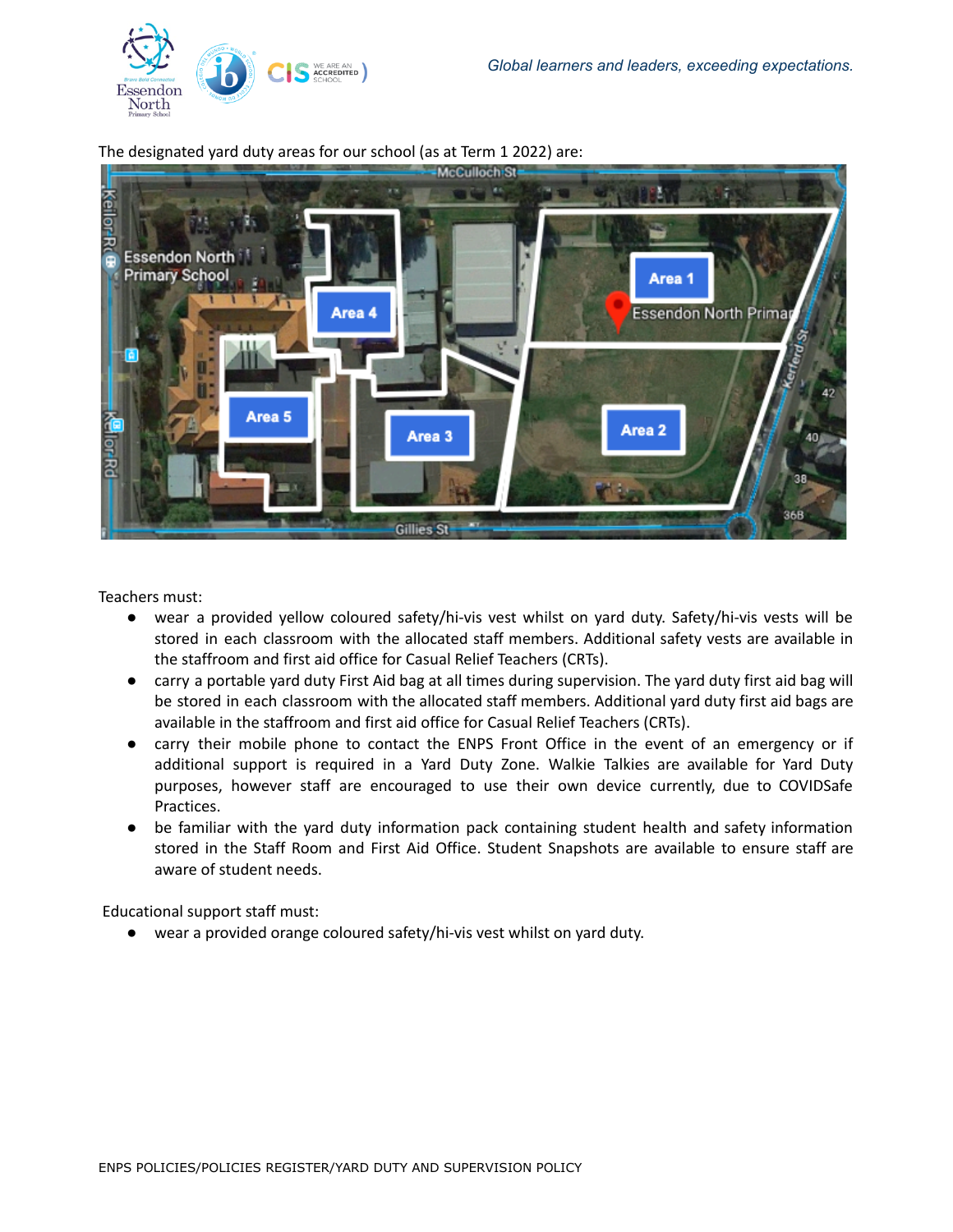



The designated yard duty areas for our school (as at Term 1 2022) are:

Teachers must:

- wear a provided yellow coloured safety/hi-vis vest whilst on yard duty. Safety/hi-vis vests will be stored in each classroom with the allocated staff members. Additional safety vests are available in the staffroom and first aid office for Casual Relief Teachers (CRTs).
- carry a portable yard duty First Aid bag at all times during supervision. The yard duty first aid bag will be stored in each classroom with the allocated staff members. Additional yard duty first aid bags are available in the staffroom and first aid office for Casual Relief Teachers (CRTs).
- carry their mobile phone to contact the ENPS Front Office in the event of an emergency or if additional support is required in a Yard Duty Zone. Walkie Talkies are available for Yard Duty purposes, however staff are encouraged to use their own device currently, due to COVIDSafe Practices.
- be familiar with the yard duty information pack containing student health and safety information stored in the Staff Room and First Aid Office. Student Snapshots are available to ensure staff are aware of student needs.

Educational support staff must:

● wear a provided orange coloured safety/hi-vis vest whilst on yard duty.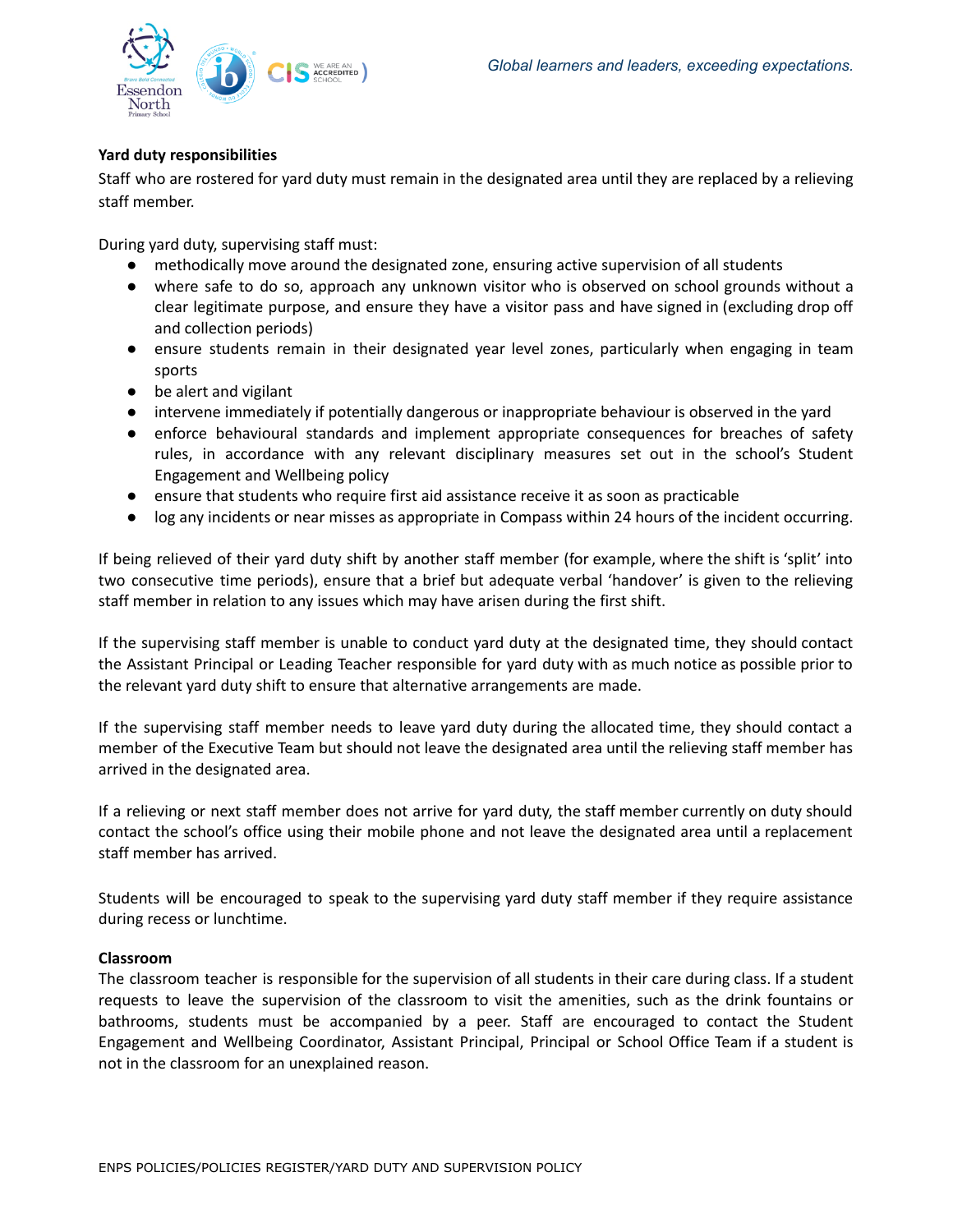

# **Yard duty responsibilities**

Staff who are rostered for yard duty must remain in the designated area until they are replaced by a relieving staff member.

During yard duty, supervising staff must:

- methodically move around the designated zone, ensuring active supervision of all students
- where safe to do so, approach any unknown visitor who is observed on school grounds without a clear legitimate purpose, and ensure they have a visitor pass and have signed in (excluding drop off and collection periods)
- ensure students remain in their designated year level zones, particularly when engaging in team sports
- be alert and vigilant
- intervene immediately if potentially dangerous or inappropriate behaviour is observed in the yard
- enforce behavioural standards and implement appropriate consequences for breaches of safety rules, in accordance with any relevant disciplinary measures set out in the school's Student Engagement and Wellbeing policy
- ensure that students who require first aid assistance receive it as soon as practicable
- log any incidents or near misses as appropriate in Compass within 24 hours of the incident occurring.

If being relieved of their yard duty shift by another staff member (for example, where the shift is 'split' into two consecutive time periods), ensure that a brief but adequate verbal 'handover' is given to the relieving staff member in relation to any issues which may have arisen during the first shift.

If the supervising staff member is unable to conduct yard duty at the designated time, they should contact the Assistant Principal or Leading Teacher responsible for yard duty with as much notice as possible prior to the relevant yard duty shift to ensure that alternative arrangements are made.

If the supervising staff member needs to leave yard duty during the allocated time, they should contact a member of the Executive Team but should not leave the designated area until the relieving staff member has arrived in the designated area.

If a relieving or next staff member does not arrive for yard duty, the staff member currently on duty should contact the school's office using their mobile phone and not leave the designated area until a replacement staff member has arrived.

Students will be encouraged to speak to the supervising yard duty staff member if they require assistance during recess or lunchtime.

#### **Classroom**

The classroom teacher is responsible for the supervision of all students in their care during class. If a student requests to leave the supervision of the classroom to visit the amenities, such as the drink fountains or bathrooms, students must be accompanied by a peer. Staff are encouraged to contact the Student Engagement and Wellbeing Coordinator, Assistant Principal, Principal or School Office Team if a student is not in the classroom for an unexplained reason.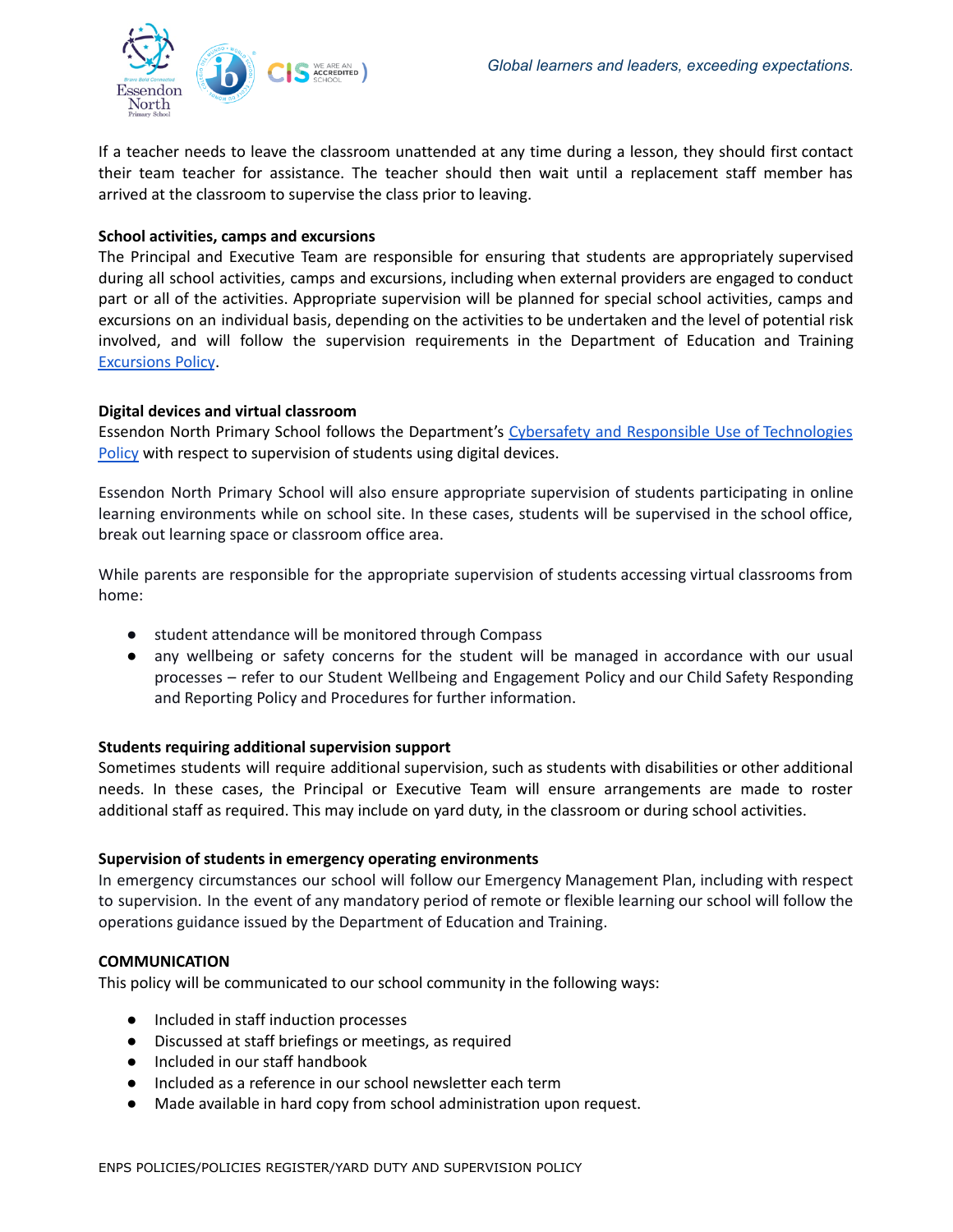

If a teacher needs to leave the classroom unattended at any time during a lesson, they should first contact their team teacher for assistance. The teacher should then wait until a replacement staff member has arrived at the classroom to supervise the class prior to leaving.

### **School activities, camps and excursions**

The Principal and Executive Team are responsible for ensuring that students are appropriately supervised during all school activities, camps and excursions, including when external providers are engaged to conduct part or all of the activities. Appropriate supervision will be planned for special school activities, camps and excursions on an individual basis, depending on the activities to be undertaken and the level of potential risk involved, and will follow the supervision requirements in the Department of Education and Training [Excursions](https://www2.education.vic.gov.au/pal/excursions/policy) Policy.

### **Digital devices and virtual classroom**

Essendon North Primary School follows the Department's Cybersafety and Responsible Use of [Technologies](https://www2.education.vic.gov.au/pal/cybersafety/policy) [Policy](https://www2.education.vic.gov.au/pal/cybersafety/policy) with respect to supervision of students using digital devices.

Essendon North Primary School will also ensure appropriate supervision of students participating in online learning environments while on school site. In these cases, students will be supervised in the school office, break out learning space or classroom office area.

While parents are responsible for the appropriate supervision of students accessing virtual classrooms from home:

- student attendance will be monitored through Compass
- any wellbeing or safety concerns for the student will be managed in accordance with our usual processes – refer to our Student Wellbeing and Engagement Policy and our Child Safety Responding and Reporting Policy and Procedures for further information.

# **Students requiring additional supervision support**

Sometimes students will require additional supervision, such as students with disabilities or other additional needs. In these cases, the Principal or Executive Team will ensure arrangements are made to roster additional staff as required. This may include on yard duty, in the classroom or during school activities.

# **Supervision of students in emergency operating environments**

In emergency circumstances our school will follow our Emergency Management Plan, including with respect to supervision. In the event of any mandatory period of remote or flexible learning our school will follow the operations guidance issued by the Department of Education and Training.

# **COMMUNICATION**

This policy will be communicated to our school community in the following ways:

- Included in staff induction processes
- Discussed at staff briefings or meetings, as required
- Included in our staff handbook
- Included as a reference in our school newsletter each term
- Made available in hard copy from school administration upon request.